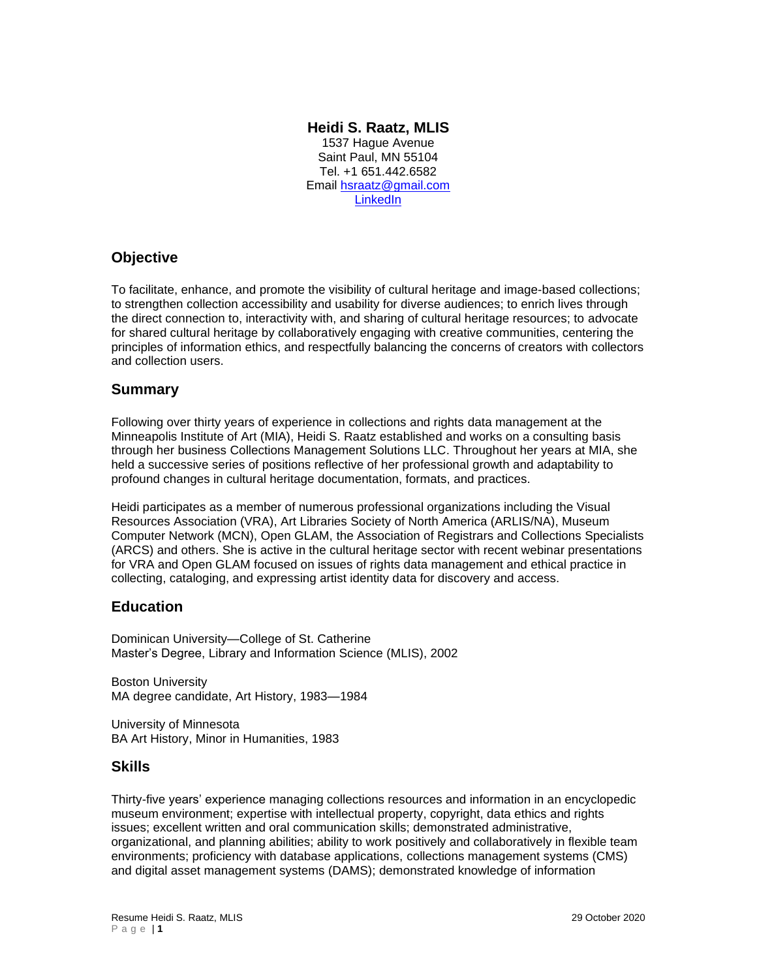### **Heidi S. Raatz, MLIS**

1537 Hague Avenue Saint Paul, MN 55104 Tel. +1 651.442.6582 Email [hsraatz@gmail.com](mailto:hsraatz@gmail.com) **[LinkedIn](https://www.linkedin.com/in/heidi-s-raatz/)** 

# **Objective**

To facilitate, enhance, and promote the visibility of cultural heritage and image-based collections; to strengthen collection accessibility and usability for diverse audiences; to enrich lives through the direct connection to, interactivity with, and sharing of cultural heritage resources; to advocate for shared cultural heritage by collaboratively engaging with creative communities, centering the principles of information ethics, and respectfully balancing the concerns of creators with collectors and collection users.

## **Summary**

Following over thirty years of experience in collections and rights data management at the Minneapolis Institute of Art (MIA), Heidi S. Raatz established and works on a consulting basis through her business Collections Management Solutions LLC. Throughout her years at MIA, she held a successive series of positions reflective of her professional growth and adaptability to profound changes in cultural heritage documentation, formats, and practices.

Heidi participates as a member of numerous professional organizations including the Visual Resources Association (VRA), Art Libraries Society of North America (ARLIS/NA), Museum Computer Network (MCN), Open GLAM, the Association of Registrars and Collections Specialists (ARCS) and others. She is active in the cultural heritage sector with recent webinar presentations for VRA and Open GLAM focused on issues of rights data management and ethical practice in collecting, cataloging, and expressing artist identity data for discovery and access.

# **Education**

Dominican University—College of St. Catherine Master's Degree, Library and Information Science (MLIS), 2002

Boston University MA degree candidate, Art History, 1983—1984

University of Minnesota BA Art History, Minor in Humanities, 1983

### **Skills**

Thirty-five years' experience managing collections resources and information in an encyclopedic museum environment; expertise with intellectual property, copyright, data ethics and rights issues; excellent written and oral communication skills; demonstrated administrative, organizational, and planning abilities; ability to work positively and collaboratively in flexible team environments; proficiency with database applications, collections management systems (CMS) and digital asset management systems (DAMS); demonstrated knowledge of information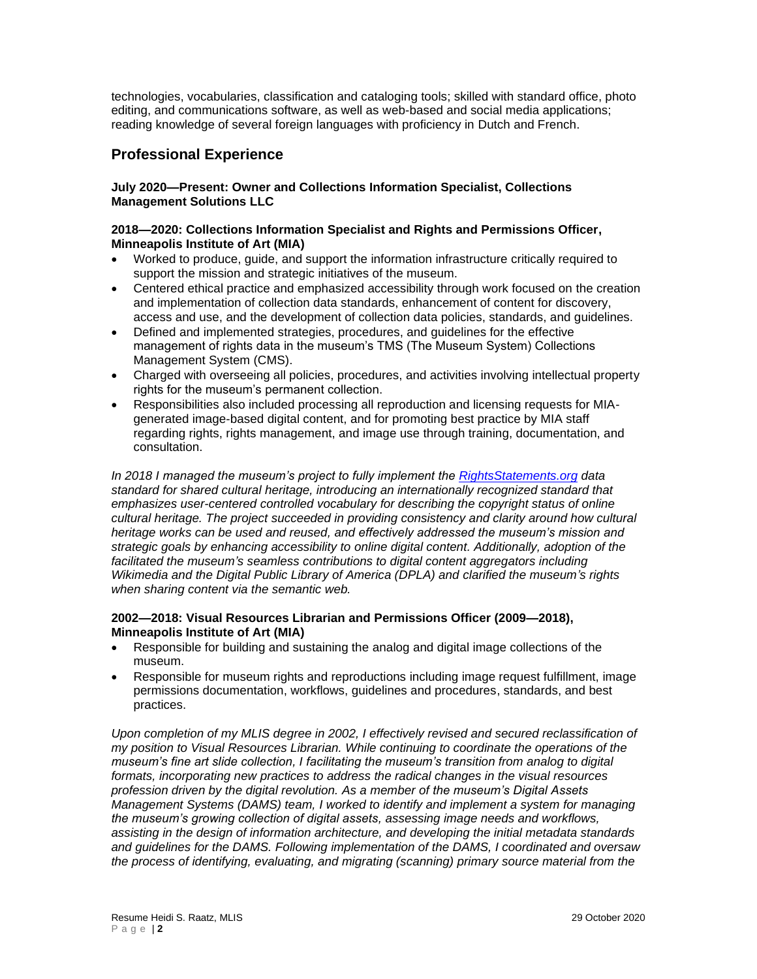technologies, vocabularies, classification and cataloging tools; skilled with standard office, photo editing, and communications software, as well as web-based and social media applications; reading knowledge of several foreign languages with proficiency in Dutch and French.

## **Professional Experience**

#### **July 2020—Present: Owner and Collections Information Specialist, Collections Management Solutions LLC**

#### **2018—2020: Collections Information Specialist and Rights and Permissions Officer, Minneapolis Institute of Art (MIA)**

- Worked to produce, guide, and support the information infrastructure critically required to support the mission and strategic initiatives of the museum.
- Centered ethical practice and emphasized accessibility through work focused on the creation and implementation of collection data standards, enhancement of content for discovery, access and use, and the development of collection data policies, standards, and guidelines.
- Defined and implemented strategies, procedures, and guidelines for the effective management of rights data in the museum's TMS (The Museum System) Collections Management System (CMS).
- Charged with overseeing all policies, procedures, and activities involving intellectual property rights for the museum's permanent collection.
- Responsibilities also included processing all reproduction and licensing requests for MIAgenerated image-based digital content, and for promoting best practice by MIA staff regarding rights, rights management, and image use through training, documentation, and consultation.

*In 2018 I managed the museum's project to fully implement the [RightsStatements.org](https://rightsstatements.org/en/) data standard for shared cultural heritage, introducing an internationally recognized standard that emphasizes user-centered controlled vocabulary for describing the copyright status of online cultural heritage. The project succeeded in providing consistency and clarity around how cultural heritage works can be used and reused, and effectively addressed the museum's mission and strategic goals by enhancing accessibility to online digital content. Additionally, adoption of the*  facilitated the museum's seamless contributions to digital content aggregators including *Wikimedia and the Digital Public Library of America (DPLA) and clarified the museum's rights when sharing content via the semantic web.*

#### **2002—2018: Visual Resources Librarian and Permissions Officer (2009—2018), Minneapolis Institute of Art (MIA)**

- Responsible for building and sustaining the analog and digital image collections of the museum.
- Responsible for museum rights and reproductions including image request fulfillment, image permissions documentation, workflows, guidelines and procedures, standards, and best practices.

*Upon completion of my MLIS degree in 2002, I effectively revised and secured reclassification of my position to Visual Resources Librarian. While continuing to coordinate the operations of the museum's fine art slide collection, I facilitating the museum's transition from analog to digital formats, incorporating new practices to address the radical changes in the visual resources profession driven by the digital revolution. As a member of the museum's Digital Assets Management Systems (DAMS) team, I worked to identify and implement a system for managing the museum's growing collection of digital assets, assessing image needs and workflows, assisting in the design of information architecture, and developing the initial metadata standards and guidelines for the DAMS. Following implementation of the DAMS, I coordinated and oversaw the process of identifying, evaluating, and migrating (scanning) primary source material from the*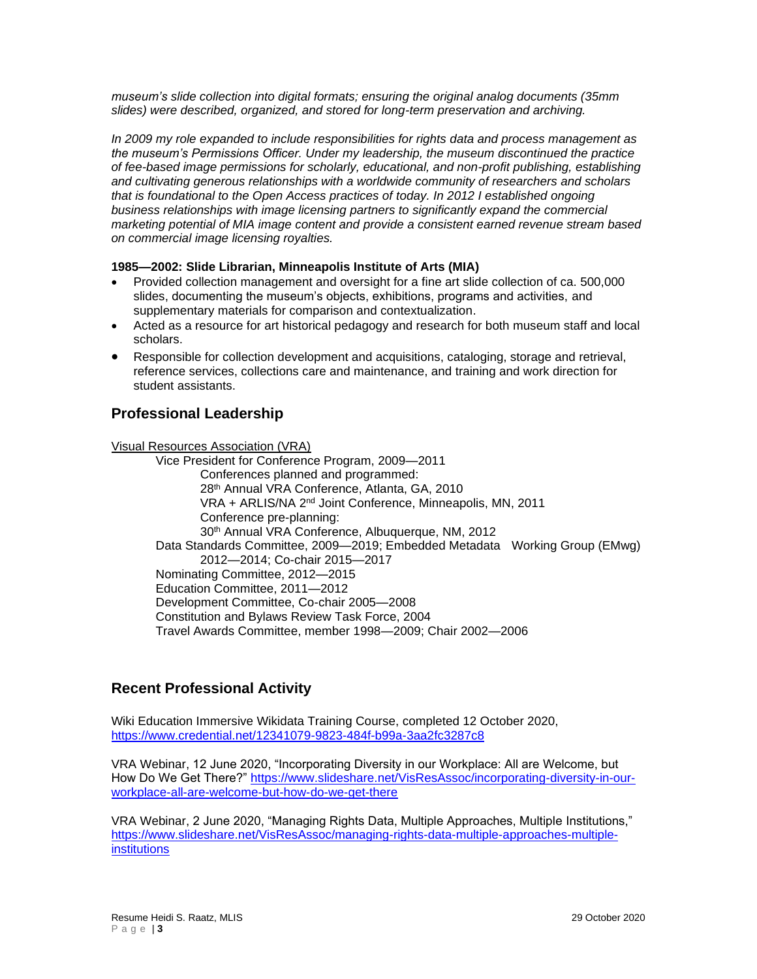*museum's slide collection into digital formats; ensuring the original analog documents (35mm slides) were described, organized, and stored for long-term preservation and archiving.*

*In 2009 my role expanded to include responsibilities for rights data and process management as the museum's Permissions Officer. Under my leadership, the museum discontinued the practice of fee-based image permissions for scholarly, educational, and non-profit publishing, establishing and cultivating generous relationships with a worldwide community of researchers and scholars that is foundational to the Open Access practices of today. In 2012 I established ongoing business relationships with image licensing partners to significantly expand the commercial marketing potential of MIA image content and provide a consistent earned revenue stream based on commercial image licensing royalties.* 

#### **1985—2002: Slide Librarian, Minneapolis Institute of Arts (MIA)**

- Provided collection management and oversight for a fine art slide collection of ca. 500,000 slides, documenting the museum's objects, exhibitions, programs and activities, and supplementary materials for comparison and contextualization.
- Acted as a resource for art historical pedagogy and research for both museum staff and local scholars.
- Responsible for collection development and acquisitions, cataloging, storage and retrieval, reference services, collections care and maintenance, and training and work direction for student assistants.

### **Professional Leadership**

Visual Resources Association (VRA)

Vice President for Conference Program, 2009—2011 Conferences planned and programmed: 28th Annual VRA Conference, Atlanta, GA, 2010 VRA + ARLIS/NA 2nd Joint Conference, Minneapolis, MN, 2011 Conference pre-planning: 30th Annual VRA Conference, Albuquerque, NM, 2012 Data Standards Committee, 2009—2019; Embedded Metadata Working Group (EMwg) 2012—2014; Co-chair 2015—2017 Nominating Committee, 2012—2015 Education Committee, 2011—2012 Development Committee, Co-chair 2005—2008 Constitution and Bylaws Review Task Force, 2004 Travel Awards Committee, member 1998—2009; Chair 2002—2006

### **Recent Professional Activity**

Wiki Education Immersive Wikidata Training Course, completed 12 October 2020, <https://www.credential.net/12341079-9823-484f-b99a-3aa2fc3287c8>

VRA Webinar, 12 June 2020, "Incorporating Diversity in our Workplace: All are Welcome, but How Do We Get There?" [https://www.slideshare.net/VisResAssoc/incorporating-diversity-in-our](https://www.slideshare.net/VisResAssoc/incorporating-diversity-in-our-workplace-all-are-welcome-but-how-do-we-get-there)[workplace-all-are-welcome-but-how-do-we-get-there](https://www.slideshare.net/VisResAssoc/incorporating-diversity-in-our-workplace-all-are-welcome-but-how-do-we-get-there)

VRA Webinar, 2 June 2020, "Managing Rights Data, Multiple Approaches, Multiple Institutions," [https://www.slideshare.net/VisResAssoc/managing-rights-data-multiple-approaches-multiple](https://www.slideshare.net/VisResAssoc/managing-rights-data-multiple-approaches-multiple-institutions)[institutions](https://www.slideshare.net/VisResAssoc/managing-rights-data-multiple-approaches-multiple-institutions)